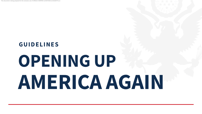# **GU I D ELI NES OPENING UP AMERICA AGAIN**

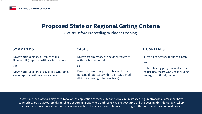Downward trajectory of documented cases within a 14-day period

Downward trajectory of positive tests as a percent of total tests within a 14-day period (flat or increasing volume of tests)



(Satisfy Before Proceeding to Phased Opening)

\*State and local officials may need to tailor the application of these criteria to local circumstances (e.g., metropolitan areas that have suffered severe COVID outbreaks, rural and suburban areas where outbreaks have not occurred or have been mild). Additionally, where appropriate, Governors should work on a regional basis to satisfy these criteria and to progress through the phases outlined below.

Downward trajectory of influenza-like illnesses (ILI) reported within a 14-day period

Downward trajectory of covid-like syndromic cases reported within a 14-day period

### **SYMPTOMS CASES**

Treat all patients without crisis care

Robust testing program in place for at-risk healthcare workers, including emerging antibody testing

### **HOSPITALS**

### **Proposed State or Regional Gating Criteria**

AND OR

AND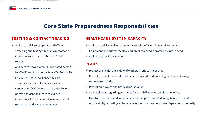### **Core State Preparedness Responsibilities**

 $\checkmark$  Ability to quickly set up safe and efficient screening and testing sites for symptomatic individuals and trace contacts of COVID+ results  $\checkmark$  Ability to test Syndromic/ILI-indicated persons for COVID and trace contacts of COVID+ results  $\checkmark$  Ensure sentinel surveillance sites are screening for asymptomatic cases and contacts for COVID+ results are traced (sites operate at locations that serve older individuals, lower-income Americans, racial minorities, and Native Americans) Equipment and critical medical equipment to handle dramatic surge in need  $\checkmark$  Ability to surge ICU capacity **PLANS**  $\checkmark$  Protect the health and safety of workers in critical industries  $\checkmark$  Protect the health and safety of those living and working in high-risk facilities (e.g., senior care facilities)  $\checkmark$  Protect employees and users of mass transit  $\checkmark$  Advise citizens regarding protocols for social distancing and face coverings  $\checkmark$  Monitor conditions and immediately take steps to limit and mitigate any rebounds or outbreaks by restarting a phase or returning to an earlier phase, depending on severity

 $\checkmark$  Ability to quickly and independently supply sufficient Personal Protective



### **HEALTHCARE SYSTEM CAPACITY TESTING & CONTACT TRACING**

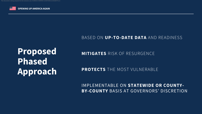**Proposed Phased Approach**

### **MITIGATES** RISK OF RESURGENCE

### **PROTECTS** THE MOST VULNERABLE

### BASED ON **UP-TO-DATE DATA** AND READINESS

IMPLEMENTABLE ON **STATEWIDE OR COUNTY-BY-COUNTY** BASIS AT GOVERNORS' DISCRETION



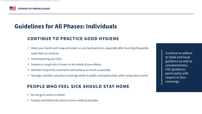# **Guidelines for All Phases: Individuals**

- Do not go to work or school.
- $\checkmark$  Contact and follow the advice of your medical provider.

### **CONTINUE TO PRACTICE GOOD HYGIENE**

- $\checkmark$  Wash your hands with soap and water or use hand sanitizer, especially after touching frequently used items or surfaces.
- $\checkmark$  Avoid touching your face.
- $\checkmark$  Sneeze or cough into a tissue, or the inside of your elbow.
- $\checkmark$  Disinfect frequently used items and surfaces as much as possible.
- $\checkmark$  Strongly consider using face coverings while in public, and particularly when using mass transit.

### **PEOPLE WHO FEEL SICK SHOULD STAY HOME**

Continue to adhere to State and local guidance as well as complementary CDC guidance, particularly with respect to face coverings.



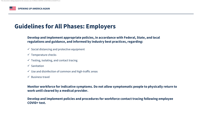## **Guidelines for All Phases: Employers**

### **Develop and implement appropriate policies, in accordance with Federal, State, and local regulations and guidance, and informed by industry best practices, regarding:**

- $\checkmark$  Social distancing and protective equipment
- $\checkmark$  Temperature checks
- $\checkmark$  Testing, isolating, and contact tracing
- $\checkmark$  Sanitation
- $\checkmark$  Use and disinfection of common and high-traffic areas
- $\checkmark$  Business travel

**Monitor workforce for indicative symptoms. Do not allow symptomatic people to physically return to** 

# **work until cleared by a medical provider.**

**Develop and implement policies and procedures for workforce contact tracing following employee COVID+ test.**

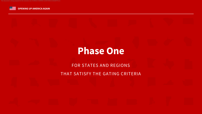# **Phase One**











### FOR STATES AND REGIONS THAT SATISFY THE GATING CRITERIA





clusive use of GREGG HARPER at WATKINS & EAGER PLLC



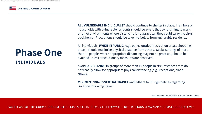**ALL VULNERABLE INDIVIDUALS\*** should continue to shelter in place. Members of households with vulnerable residents should be aware that by returning to work or other environments where distancing is not practical, they could carry the virus back home. Precautions should be taken to isolate from vulnerable residents.

All individuals, **WHEN IN PUBLIC** (e.g., parks, outdoor recreation areas, shopping areas), should maximize physical distance from others. Social settings of more than 10 people, where appropriate distancing may not be practical, should be avoided unless precautionary measures are observed.

Avoid **SOCIALIZING** in groups of more than 10 people in circumstances that do not readily allow for appropriate physical distancing (e.g., receptions, trade shows)

**MINIMIZE NON-ESSENTIAL TRAVEL** and adhere to CDC guidelines regarding isolation following travel.

# **Phase One INDIVIDUALS**

\*See Appendix 1 for Definition of Vulnerable Individuals







EACH PHASE OF THIS GUIDANCE ADDRESSES THOSE ASPECTS OF DAILY LIFE FOR WHICH RESTRICTIONS REMAIN APPROPRIATE DUE TO COVID.

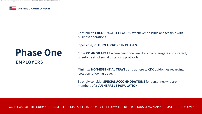Continue to **ENCOURAGE TELEWORK**, whenever possible and feasible with business operations.

### If possible, **RETURN TO WORK IN PHASES.**

Close **COMMON AREAS** where personnel are likely to congregate and interact, or enforce strict social distancing protocols.



Minimize **NON-ESSENTIAL TRAVEL** and adhere to CDC guidelines regarding isolation following travel.

Strongly consider **SPECIAL ACCOMMODATIONS** for personnel who are members of a **VULNERABLE POPULATION.**

## **Phase One EMPLOYERS**

EACH PHASE OF THIS GUIDANCE ADDRESSES THOSE ASPECTS OF DAILY LIFE FOR WHICH RESTRICTIONS REMAIN APPROPRIATE DUE TO COVID.

xclusive use of GREGG HARPER at WATKINS & EAGER PLLC

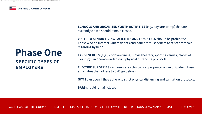**SCHOOLS AND ORGANIZED YOUTH ACTIVITIES** (e.g., daycare, camp) that are currently closed should remain closed.

**VISITS TO SENIOR LIVING FACILITIES AND HOSPITALS** should be prohibited. Those who do interact with residents and patients must adhere to strict protocols regarding hygiene.

**LARGE VENUES** (e.g., sit-down dining, movie theaters, sporting venues, places of worship) can operate under strict physical distancing protocols.

**ELECTIVE SURGERIES** can resume, as clinically appropriate, on an outpatient basis at facilities that adhere to CMS guidelines.

**GYMS** can open if they adhere to strict physical distancing and sanitation protocols.

**BARS** should remain closed.

### **Phase One SPECIFIC TYPES OF EMPLOYERS**















EACH PHASE OF THIS GUIDANCE ADDRESSES THOSE ASPECTS OF DAILY LIFE FOR WHICH RESTRICTIONS REMAIN APPROPRIATE DUE TO COVID.

sive use of GREGG HARPER at WATKINS &

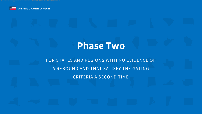# **Phase Two**

FOR STATES AND REGIONS WITH NO EVIDENCE OF A REBOUND AND THAT SATISFY THE GATING CRITERIA A SECOND TIME



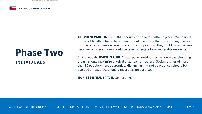**ALL VULNERABLE INDIVIDUALS** should continue to shelter in place. Members of households with vulnerable residents should be aware that by returning to work or other environments where distancing is not practical, they could carry the virus back home. Precautions should be taken to isolate from vulnerable residents.

All individuals, **WHEN IN PUBLIC** (e.g., parks, outdoor recreation areas, shopping areas), should maximize physical distance from others. Social settings of more than 50 people, where appropriate distancing may not be practical, should be avoided unless precautionary measures are observed.

**NON-ESSENTIAL TRAVEL** can resume.

# **Phase Two INDIVIDUALS**

EACH PHASE OF THIS GUIDANCE ADDRESSES THOSE ASPECTS OF DAILY LIFE FOR WHICH RESTRICTIONS REMAIN APPROPRIATE DUE TO COVID.







 $\,$ ive use of GREGG HARPER at WATKINS & EAGER PLL(

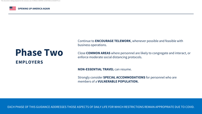Continue to **ENCOURAGE TELEWORK**, whenever possible and feasible with business operations.

Close **COMMON AREAS** where personnel are likely to congregate and interact, or enforce moderate social distancing protocols.



Strongly consider **SPECIAL ACCOMMODATIONS** for personnel who are members of a **VULNERABLE POPULATION.**

# **Phase Two EMPLOYERS**

**NON-ESSENTIAL TRAVEL can resume.** 

EACH PHASE OF THIS GUIDANCE ADDRESSES THOSE ASPECTS OF DAILY LIFE FOR WHICH RESTRICTIONS REMAIN APPROPRIATE DUE TO COVID.

exclusive use of GREGG HARPER at WATKINS & EAGER PLLC

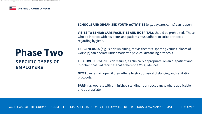### **SCHOOLS AND ORGANIZED YOUTH ACTIVITIES** (e.g., daycare, camp) can reopen.

**VISITS TO SENIOR CARE FACILITIES AND HOSPITALS** should be prohibited. Those who do interact with residents and patients must adhere to strict protocols regarding hygiene.

**LARGE VENUES** (e.g., sit-down dining, movie theaters, sporting venues, places of worship) can operate under moderate physical distancing protocols.

**ELECTIVE SURGERIES** can resume, as clinically appropriate, on an outpatient and in-patient basis at facilities that adhere to CMS guidelines.

**GYMS** can remain open if they adhere to strict physical distancing and sanitation

















protocols.

**BARS** may operate with diminished standing-room occupancy, where applicable and appropriate.

### **Phase Two SPECIFIC TYPES OF EMPLOYERS**

EACH PHASE OF THIS GUIDANCE ADDRESSES THOSE ASPECTS OF DAILY LIFE FOR WHICH RESTRICTIONS REMAIN APPROPRIATE DUE TO COVID.

sive use of GREGG HARPER at WATKINS & EAGER PLL(

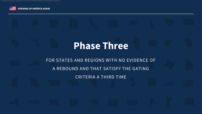# **Phase Three**

FOR STATES AND REGIONS WITH NO EVIDENCE OF A REBOUND AND THAT SATISFY THE GATING CRITERIA A THIRD TIME



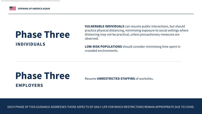**VULNERABLE INDIVIDUALS** can resume public interactions, but should practice physical distancing, minimizing exposure to social settings where distancing may not be practical, unless precautionary measures are observed.

# **Phase Three** Resume **UNRESTRICTED STAFFING** of worksites. **EMPLOYERS**

**LOW-RISK POPULATIONS** should consider minimizing time spent in crowded environments.

# **Phase Three INDIVIDUALS**

EACH PHASE OF THIS GUIDANCE ADDRESSES THOSE ASPECTS OF DAILY LIFE FOR WHICH RESTRICTIONS REMAIN APPROPRIATE DUE TO COVID.



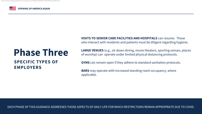**LARGE VENUES** (e.g., sit-down dining, movie theaters, sporting venues, places of worship) can operate under limited physical distancing protocols.

**GYMS** can remain open if they adhere to standard sanitation protocols.

**BARS** may operate with increased standing room occupancy, where applicable.

### **VISITS TO SENIOR CARE FACILITIES AND HOSPITALS** can resume. Those who interact with residents and patients must be diligent regarding hygiene.

### **Phase Three SPECIFIC TYPES OF EMPLOYERS**





usive use of GREGG HARPER at WATKINS & EAGER PLLC